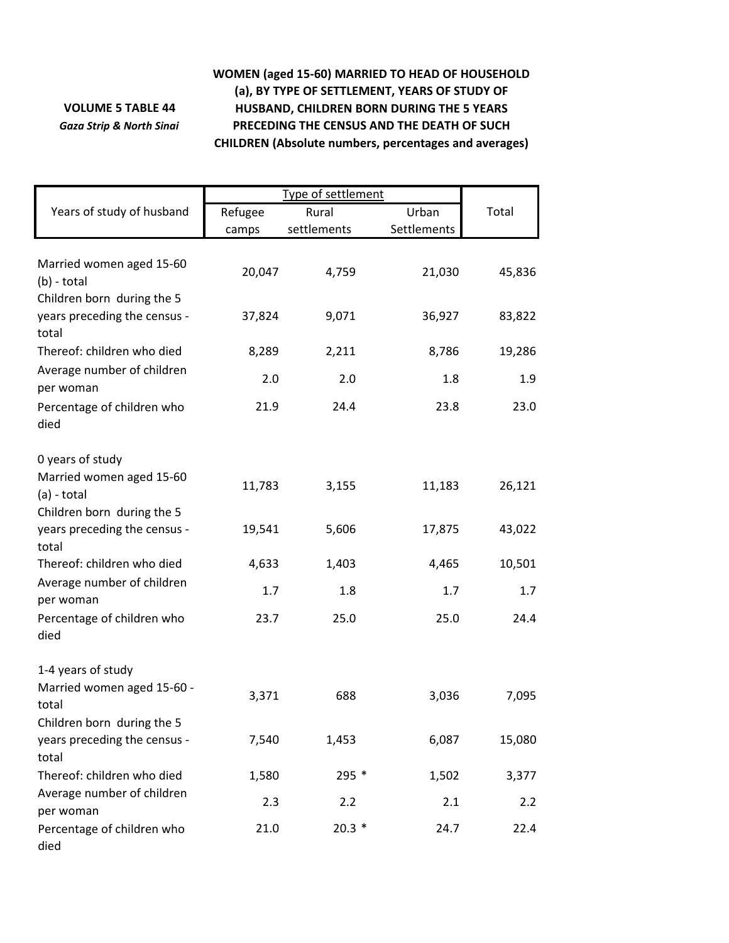## **VOLUME 5 TABLE 44** *Gaza Strip & North Sinai*

## **WOMEN (aged 15‐60) MARRIED TO HEAD OF HOUSEHOLD (a), BY TYPE OF SETTLEMENT, YEARS OF STUDY OF HUSBAND, CHILDREN BORN DURING THE 5 YEARS PRECEDING THE CENSUS AND THE DEATH OF SUCH CHILDREN (Absolute numbers, percentages and averages)**

|                                                                         | Type of settlement |             |             |        |
|-------------------------------------------------------------------------|--------------------|-------------|-------------|--------|
| Years of study of husband                                               | Refugee            | Rural       | Urban       | Total  |
|                                                                         | camps              | settlements | Settlements |        |
| Married women aged 15-60<br>$(b)$ - total<br>Children born during the 5 | 20,047             | 4,759       | 21,030      | 45,836 |
| years preceding the census -<br>total                                   | 37,824             | 9,071       | 36,927      | 83,822 |
| Thereof: children who died                                              | 8,289              | 2,211       | 8,786       | 19,286 |
| Average number of children<br>per woman                                 | 2.0                | 2.0         | 1.8         | 1.9    |
| Percentage of children who<br>died                                      | 21.9               | 24.4        | 23.8        | 23.0   |
| 0 years of study                                                        |                    |             |             |        |
| Married women aged 15-60<br>$(a) - total$                               | 11,783             | 3,155       | 11,183      | 26,121 |
| Children born during the 5<br>years preceding the census -<br>total     | 19,541             | 5,606       | 17,875      | 43,022 |
| Thereof: children who died                                              | 4,633              | 1,403       | 4,465       | 10,501 |
| Average number of children<br>per woman                                 | 1.7                | 1.8         | 1.7         | 1.7    |
| Percentage of children who<br>died                                      | 23.7               | 25.0        | 25.0        | 24.4   |
| 1-4 years of study                                                      |                    |             |             |        |
| Married women aged 15-60 -<br>total                                     | 3,371              | 688         | 3,036       | 7,095  |
| Children born during the 5<br>years preceding the census -              | 7,540              | 1,453       | 6,087       | 15,080 |
| total<br>Thereof: children who died                                     | 1,580              | 295 *       | 1,502       | 3,377  |
| Average number of children                                              |                    |             |             |        |
| per woman                                                               | 2.3                | 2.2         | 2.1         | 2.2    |
| Percentage of children who<br>died                                      | 21.0               | $20.3*$     | 24.7        | 22.4   |